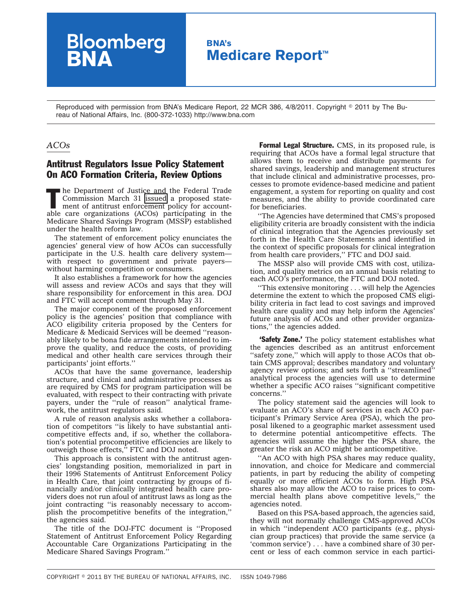## **BNA's Medicare Report™**

Reproduced with permission from BNA's Medicare Report, 22 MCR 386, 4/8/2011. Copyright © 2011 by The Bureau of National Affairs, Inc. (800-372-1033) http://www.bna.com

## *ACOs*

## Antitrust Regulators Issue Policy Statement On ACO Formation Criteria, Review Options

**Bloomberg**<br>**BNA** 

The Department of Justice and the Federal Trade<br>
Commission March 31 issued a proposed state-<br>
ment of antitrust enforcement policy for account-<br>
also are arguments (ACOs) participating in the Commission March 31 [issued](http://op.bna.com/hl.nsf/r?Open=psts-8fgren) a proposed stateable care organizations (ACOs) participating in the Medicare Shared Savings Program (MSSP) established under the health reform law.

The statement of enforcement policy enunciates the agencies' general view of how ACOs can successfully participate in the U.S. health care delivery system with respect to government and private payers without harming competition or consumers.

It also establishes a framework for how the agencies will assess and review ACOs and says that they will share responsibility for enforcement in this area. DOJ and FTC will accept comment through May 31.

The major component of the proposed enforcement policy is the agencies' position that compliance with ACO eligibility criteria proposed by the Centers for Medicare & Medicaid Services will be deemed ''reasonably likely to be bona fide arrangements intended to improve the quality, and reduce the costs, of providing medical and other health care services through their participants' joint efforts.''

ACOs that have the same governance, leadership structure, and clinical and administrative processes as are required by CMS for program participation will be evaluated, with respect to their contracting with private payers, under the "rule of reason" analytical framework, the antitrust regulators said.

A rule of reason analysis asks whether a collaboration of competitors ''is likely to have substantial anticompetitive effects and, if so, whether the collaboration's potential procompetitive efficiencies are likely to outweigh those effects,'' FTC and DOJ noted.

This approach is consistent with the antitrust agencies' longstanding position, memorialized in part in their 1996 Statements of Antitrust Enforcement Policy in Health Care, that joint contracting by groups of financially and/or clinically integrated health care providers does not run afoul of antitrust laws as long as the joint contracting ''is reasonably necessary to accomplish the procompetitive benefits of the integration,'' the agencies said.

The title of the DOJ-FTC document is ''Proposed Statement of Antitrust Enforcement Policy Regarding Accountable Care Organizations Participating in the Medicare Shared Savings Program.''

**Formal Legal Structure.** CMS, in its proposed rule, is requiring that ACOs have a formal legal structure that allows them to receive and distribute payments for shared savings, leadership and management structures that include clinical and administrative processes, processes to promote evidence-based medicine and patient engagement, a system for reporting on quality and cost measures, and the ability to provide coordinated care for beneficiaries.

''The Agencies have determined that CMS's proposed eligibility criteria are broadly consistent with the indicia of clinical integration that the Agencies previously set forth in the Health Care Statements and identified in the context of specific proposals for clinical integration from health care providers,'' FTC and DOJ said.

The MSSP also will provide CMS with cost, utilization, and quality metrics on an annual basis relating to each ACO's performance, the FTC and DOJ noted.

''This extensive monitoring . . . will help the Agencies determine the extent to which the proposed CMS eligibility criteria in fact lead to cost savings and improved health care quality and may help inform the Agencies' future analysis of ACOs and other provider organizations,'' the agencies added.

'Safety Zone.' The policy statement establishes what the agencies described as an antitrust enforcement "safety zone," which will apply to those ACOs that obtain CMS approval; describes mandatory and voluntary agency review options; and sets forth a "streamlined" analytical process the agencies will use to determine whether a specific ACO raises ''significant competitive concerns.''

The policy statement said the agencies will look to evaluate an ACO's share of services in each ACO participant's Primary Service Area (PSA), which the proposal likened to a geographic market assessment used to determine potential anticompetitive effects. The agencies will assume the higher the PSA share, the greater the risk an ACO might be anticompetitive.

''An ACO with high PSA shares may reduce quality, innovation, and choice for Medicare and commercial patients, in part by reducing the ability of competing equally or more efficient ACOs to form. High PSA shares also may allow the ACO to raise prices to commercial health plans above competitive levels,'' the agencies noted.

Based on this PSA-based approach, the agencies said, they will not normally challenge CMS-approved ACOs in which ''independent ACO participants (e.g., physician group practices) that provide the same service (a 'common service') . . . have a combined share of 30 percent or less of each common service in each partici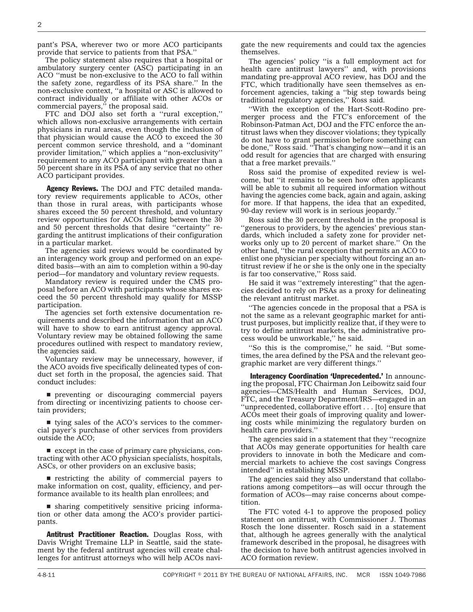pant's PSA, wherever two or more ACO participants provide that service to patients from that PSA.''

The policy statement also requires that a hospital or ambulatory surgery center (ASC) participating in an ACO ''must be non-exclusive to the ACO to fall within the safety zone, regardless of its PSA share.'' In the non-exclusive context, ''a hospital or ASC is allowed to contract individually or affiliate with other ACOs or commercial payers,'' the proposal said.

FTC and DOJ also set forth a ''rural exception,'' which allows non-exclusive arrangements with certain physicians in rural areas, even though the inclusion of that physician would cause the ACO to exceed the 30 percent common service threshold, and a ''dominant provider limitation,'' which applies a ''non-exclusivity'' requirement to any ACO participant with greater than a 50 percent share in its PSA of any service that no other ACO participant provides.

Agency Reviews. The DOJ and FTC detailed mandatory review requirements applicable to ACOs, other than those in rural areas, with participants whose shares exceed the 50 percent threshold, and voluntary review opportunities for ACOs falling between the 30 and 50 percent thresholds that desire ''certainty'' regarding the antitrust implications of their configuration in a particular market.

The agencies said reviews would be coordinated by an interagency work group and performed on an expedited basis—with an aim to completion within a 90-day period—for mandatory and voluntary review requests.

Mandatory review is required under the CMS proposal before an ACO with participants whose shares exceed the 50 percent threshold may qualify for MSSP participation.

The agencies set forth extensive documentation requirements and described the information that an ACO will have to show to earn antitrust agency approval. Voluntary review may be obtained following the same procedures outlined with respect to mandatory review, the agencies said.

Voluntary review may be unnecessary, however, if the ACO avoids five specifically delineated types of conduct set forth in the proposal, the agencies said. That conduct includes:

**performulate preventing** or discouraging commercial payers from directing or incentivizing patients to choose certain providers;

 $\blacksquare$  tying sales of the ACO's services to the commercial payer's purchase of other services from providers outside the ACO;

 $\blacksquare$  except in the case of primary care physicians, contracting with other ACO physician specialists, hospitals, ASCs, or other providers on an exclusive basis;

 $\blacksquare$  restricting the ability of commercial payers to make information on cost, quality, efficiency, and performance available to its health plan enrollees; and

 $\blacksquare$  sharing competitively sensitive pricing information or other data among the ACO's provider participants.

Antitrust Practitioner Reaction. Douglas Ross, with Davis Wright Tremaine LLP in Seattle, said the statement by the federal antitrust agencies will create challenges for antitrust attorneys who will help ACOs navigate the new requirements and could tax the agencies themselves.

The agencies' policy ''is a full employment act for health care antitrust lawyers" and, with provisions mandating pre-approval ACO review, has DOJ and the FTC, which traditionally have seen themselves as enforcement agencies, taking a ''big step towards being traditional regulatory agencies,'' Ross said.

''With the exception of the Hart-Scott-Rodino premerger process and the FTC's enforcement of the Robinson-Patman Act, DOJ and the FTC enforce the antitrust laws when they discover violations; they typically do not have to grant permission before something can be done,'' Ross said. ''That's changing now—and it is an odd result for agencies that are charged with ensuring that a free market prevails.''

Ross said the promise of expedited review is welcome, but ''it remains to be seen how often applicants will be able to submit all required information without having the agencies come back, again and again, asking for more. If that happens, the idea that an expedited, 90-day review will work is in serious jeopardy.''

Ross said the 30 percent threshold in the proposal is ''generous to providers, by the agencies' previous standards, which included a safety zone for provider networks only up to 20 percent of market share.'' On the other hand, ''the rural exception that permits an ACO to enlist one physician per specialty without forcing an antitrust review if he or she is the only one in the specialty is far too conservative,'' Ross said.

He said it was ''extremely interesting'' that the agencies decided to rely on PSAs as a proxy for delineating the relevant antitrust market.

''The agencies concede in the proposal that a PSA is not the same as a relevant geographic market for antitrust purposes, but implicitly realize that, if they were to try to define antitrust markets, the administrative process would be unworkable,'' he said.

"So this is the compromise," he said. "But sometimes, the area defined by the PSA and the relevant geographic market are very different things.''

Interagency Coordination 'Unprecedented.' In announcing the proposal, FTC Chairman Jon Leibowitz said four agencies—CMS/Health and Human Services, DOJ, FTC, and the Treasury Department/IRS—engaged in an ''unprecedented, collaborative effort . . . [to] ensure that ACOs meet their goals of improving quality and lowering costs while minimizing the regulatory burden on health care providers.''

The agencies said in a statement that they ''recognize that ACOs may generate opportunities for health care providers to innovate in both the Medicare and commercial markets to achieve the cost savings Congress intended'' in establishing MSSP.

The agencies said they also understand that collaborations among competitors—as will occur through the formation of ACOs—may raise concerns about competition.

The FTC voted 4-1 to approve the proposed policy statement on antitrust, with Commissioner J. Thomas Rosch the lone dissenter. Rosch said in a statement that, although he agrees generally with the analytical framework described in the proposal, he disagrees with the decision to have both antitrust agencies involved in ACO formation review.